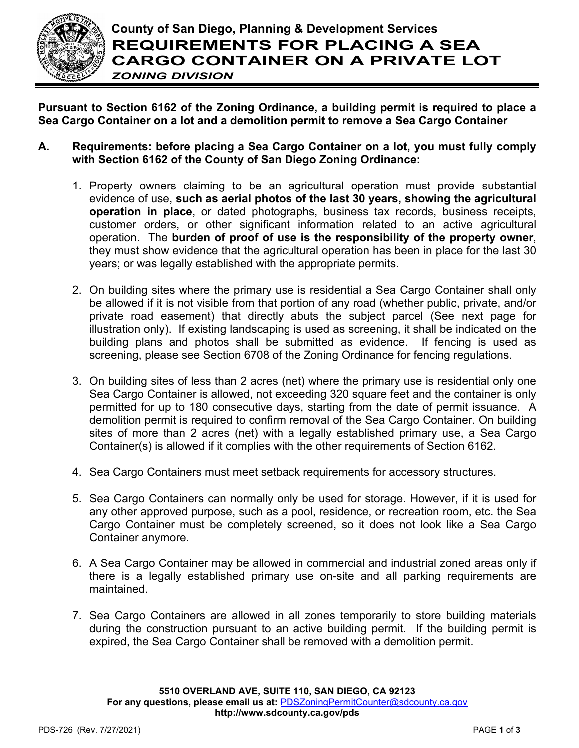

**Pursuant to Section 6162 of the Zoning Ordinance, a building permit is required to place a Sea Cargo Container on a lot and a demolition permit to remove a Sea Cargo Container**

- **A. Requirements: before placing a Sea Cargo Container on a lot, you must fully comply with Section 6162 of the County of San Diego Zoning Ordinance:**
	- 1. Property owners claiming to be an agricultural operation must provide substantial evidence of use, **such as aerial photos of the last 30 years, showing the agricultural operation in place**, or dated photographs, business tax records, business receipts, customer orders, or other significant information related to an active agricultural operation. The **burden of proof of use is the responsibility of the property owner**, they must show evidence that the agricultural operation has been in place for the last 30 years; or was legally established with the appropriate permits.
	- 2. On building sites where the primary use is residential a Sea Cargo Container shall only be allowed if it is not visible from that portion of any road (whether public, private, and/or private road easement) that directly abuts the subject parcel (See next page for illustration only). If existing landscaping is used as screening, it shall be indicated on the building plans and photos shall be submitted as evidence. If fencing is used as screening, please see Section 6708 of the Zoning Ordinance for fencing regulations.
	- 3. On building sites of less than 2 acres (net) where the primary use is residential only one Sea Cargo Container is allowed, not exceeding 320 square feet and the container is only permitted for up to 180 consecutive days, starting from the date of permit issuance. A demolition permit is required to confirm removal of the Sea Cargo Container. On building sites of more than 2 acres (net) with a legally established primary use, a Sea Cargo Container(s) is allowed if it complies with the other requirements of Section 6162.
	- 4. Sea Cargo Containers must meet setback requirements for accessory structures.
	- 5. Sea Cargo Containers can normally only be used for storage. However, if it is used for any other approved purpose, such as a pool, residence, or recreation room, etc. the Sea Cargo Container must be completely screened, so it does not look like a Sea Cargo Container anymore.
	- 6. A Sea Cargo Container may be allowed in commercial and industrial zoned areas only if there is a legally established primary use on-site and all parking requirements are maintained.
	- 7. Sea Cargo Containers are allowed in all zones temporarily to store building materials during the construction pursuant to an active building permit. If the building permit is expired, the Sea Cargo Container shall be removed with a demolition permit.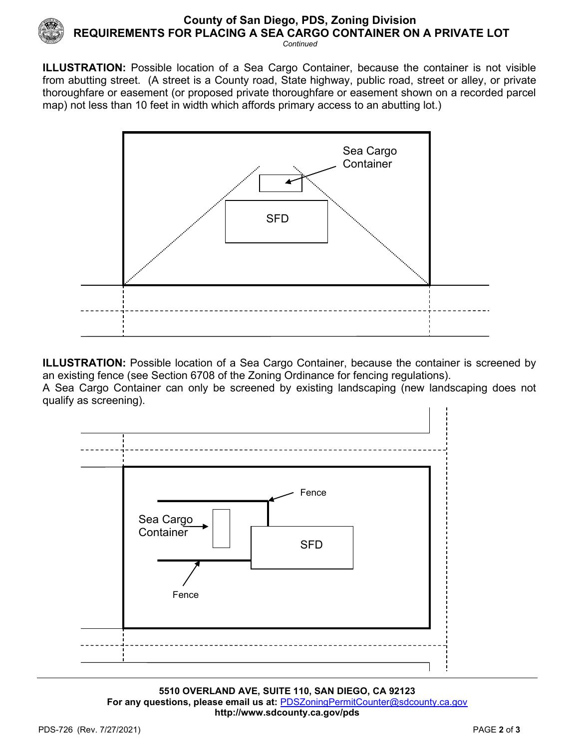

## **County of San Diego, PDS, Zoning Division REQUIREMENTS FOR PLACING A SEA CARGO CONTAINER ON A PRIVATE LOT** *Continued*

**ILLUSTRATION:** Possible location of a Sea Cargo Container, because the container is not visible from abutting street. (A street is a County road, State highway, public road, street or alley, or private thoroughfare or easement (or proposed private thoroughfare or easement shown on a recorded parcel map) not less than 10 feet in width which affords primary access to an abutting lot.)



**ILLUSTRATION:** Possible location of a Sea Cargo Container, because the container is screened by an existing fence (see Section 6708 of the Zoning Ordinance for fencing regulations). A Sea Cargo Container can only be screened by existing landscaping (new landscaping does not



**5510 OVERLAND AVE, SUITE 110, SAN DIEGO, CA 92123 For any questions, please email us at:** [PDSZoningPermitCounter@sdcounty.ca.gov](mailto:PDSZoningPermitCounter@sdcounty.ca.gov) **<http://www.sdcounty.ca.gov/pds>**